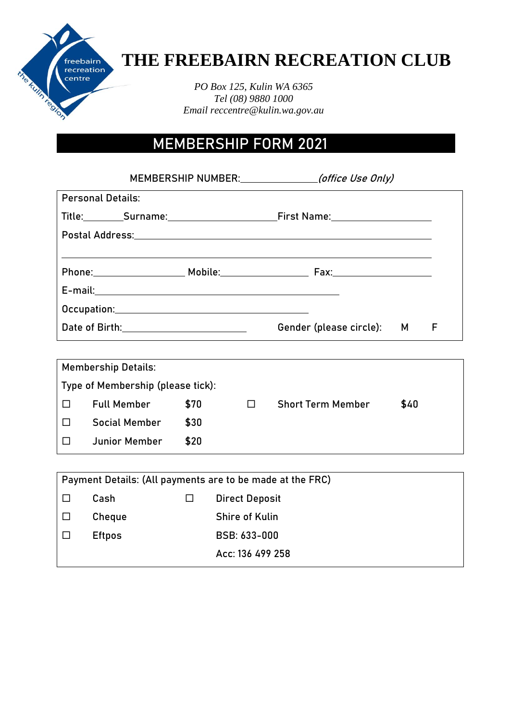

## **THE FREEBAIRN RECREATION CLUB**

*PO Box 125, Kulin WA 6365 Tel (08) 9880 1000 Email reccentre@kulin.wa.gov.au*

## MEMBERSHIP FORM 2021

|                          |                                                                                                               | MEMBERSHIP NUMBER: <i>(office Use Only)</i>                                                                    |  |   |
|--------------------------|---------------------------------------------------------------------------------------------------------------|----------------------------------------------------------------------------------------------------------------|--|---|
| <b>Personal Details:</b> |                                                                                                               |                                                                                                                |  |   |
|                          |                                                                                                               | Title: Surname: Surname: First Name: Surname: Surname: Surname: Surname: Surname: Surname: Surname: Surname: S |  |   |
|                          |                                                                                                               | Postal Address: North American Section Address and Address and Address and Address and Address and A           |  |   |
|                          |                                                                                                               |                                                                                                                |  |   |
|                          |                                                                                                               |                                                                                                                |  |   |
|                          |                                                                                                               |                                                                                                                |  |   |
|                          |                                                                                                               |                                                                                                                |  |   |
|                          | Date of Birth: 2008 and 2010 and 2010 and 2010 and 2010 and 2010 and 2010 and 2010 and 2010 and 2010 and 2010 | Gender (please circle): M                                                                                      |  | F |

| <b>Membership Details:</b>        |                      |      |  |                          |      |
|-----------------------------------|----------------------|------|--|--------------------------|------|
| Type of Membership (please tick): |                      |      |  |                          |      |
| $\Box$                            | <b>Full Member</b>   | \$70 |  | <b>Short Term Member</b> | \$40 |
| $\Box$                            | <b>Social Member</b> | \$30 |  |                          |      |
| $\Box$                            | <b>Junior Member</b> | \$20 |  |                          |      |

| Payment Details: (All payments are to be made at the FRC) |               |   |                       |  |
|-----------------------------------------------------------|---------------|---|-----------------------|--|
|                                                           | Cash          | ப | <b>Direct Deposit</b> |  |
|                                                           | Cheque        |   | Shire of Kulin        |  |
|                                                           | <b>Eftpos</b> |   | BSB: 633-000          |  |
|                                                           |               |   | Acc: 136 499 258      |  |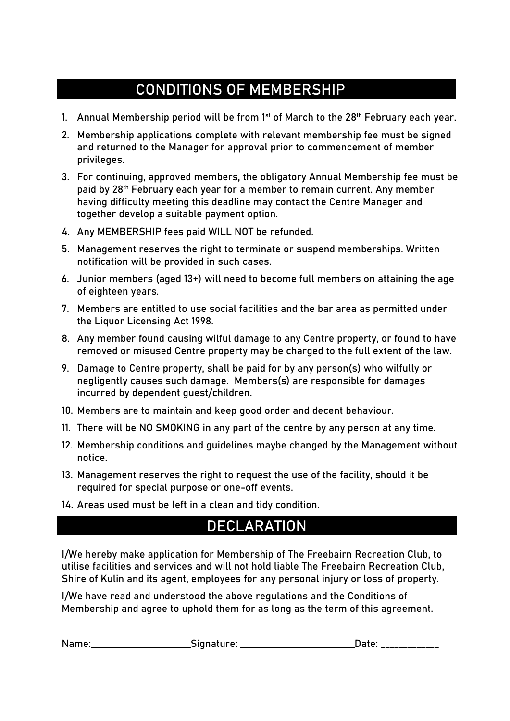### CONDITIONS OF MEMBERSHIP

- 1. Annual Membership period will be from  $1<sup>st</sup>$  of March to the 28<sup>th</sup> February each year.
- 2. Membership applications complete with relevant membership fee must be signed and returned to the Manager for approval prior to commencement of member privileges.
- 3. For continuing, approved members, the obligatory Annual Membership fee must be paid by **28th February each year** for a member to remain current. Any member having difficulty meeting this deadline may contact the Centre Manager and together develop a suitable payment option.
- 4. Any MEMBERSHIP fees paid **WILL NOT** be refunded.
- 5. Management reserves the right to terminate or suspend memberships. Written notification will be provided in such cases.
- 6. Junior members (aged 13+) will need to become full members on attaining the age of eighteen years.
- 7. Members are entitled to use social facilities and the bar area as permitted under the Liquor Licensing Act 1998.
- 8. Any member found causing wilful damage to any Centre property, or found to have removed or misused Centre property may be charged to the full extent of the law.
- 9. Damage to Centre property, shall be paid for by any person(s) who wilfully or negligently causes such damage. Members(s) are responsible for damages incurred by dependent guest/children.
- 10. Members are to maintain and keep good order and decent behaviour.
- 11. There will be **NO SMOKING** in any part of the centre by any person at any time.
- 12. Membership conditions and guidelines maybe changed by the Management without notice.
- 13. Management reserves the right to request the use of the facility, should it be required for special purpose or one-off events.
- 14. Areas used must be left in a clean and tidy condition.

### **DECLARATION**

I/We hereby make application for Membership of The Freebairn Recreation Club, to utilise facilities and services and will not hold liable The Freebairn Recreation Club, Shire of Kulin and its agent, employees for any personal injury or loss of property.

I/We have read and understood the above regulations and the Conditions of Membership and agree to uphold them for as long as the term of this agreement.

| Name: | Signature: |                                                          |
|-------|------------|----------------------------------------------------------|
|       |            | المستحدث المستحسنا المستحسنا المستحدة المستحسنا المستحدة |